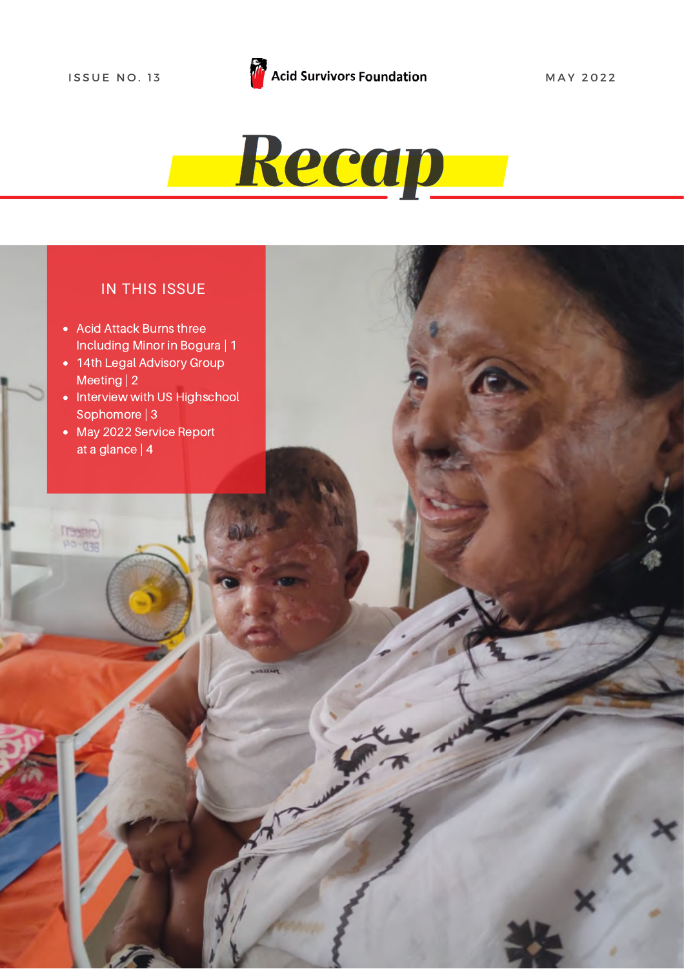

#### IN THIS ISSUE

- Acid Attack Burns three [Including](https://acidsurvivors.org/sanjida-akter-bina/) Minor in Bogura | [1](https://acidsurvivors.org/sanjida-akter-bina/)
- 14th Legal Advisory Group [Meeting](https://acidsurvivors.org/sanjida-akter-bina/) | 2
- Interview with US Highschool [Sophomore](https://acidsurvivors.org/sanjida-akter-bina/) | 3
- May 2022 [Service](https://acidsurvivors.org/sanjida-akter-bina/) Report at a glance | 4

**CHIREJ**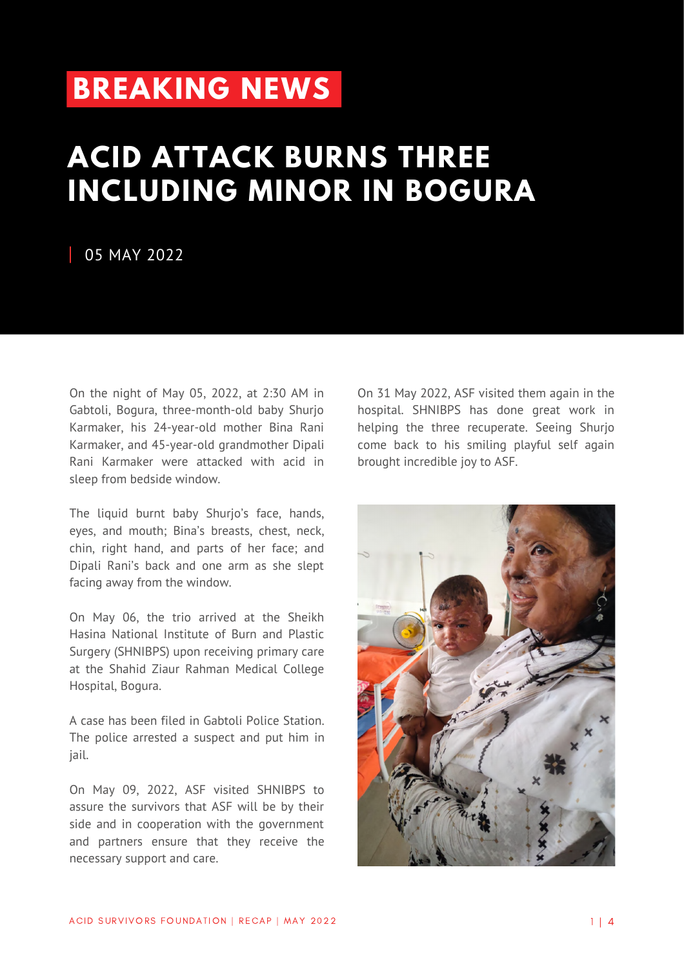## **[BREAKING](https://acidsurvivors.org/sanjida-akter-bina/) NEWS**

## **ACID ATTACK BURNS THREE [INCLUDING](https://acidsurvivors.org/sanjida-akter-bina/) MINOR IN BOGURA**

#### 05 MAY 2022

On the night of May 05, 2022, at 2:30 AM in Gabtoli, Bogura, three-month-old baby Shurjo Karmaker, his 24-year-old mother Bina Rani Karmaker, and 45-year-old grandmother Dipali Rani Karmaker were attacked with acid in sleep from bedside window.

The liquid burnt baby Shurjo's face, hands, eyes, and mouth; Bina's breasts, chest, neck, chin, right hand, and parts of her face; and Dipali Rani's back and one arm as she slept facing away from the window.

On May 06, the trio arrived at the Sheikh Hasina National Institute of Burn and Plastic Surgery (SHNIBPS) upon receiving primary care at the Shahid Ziaur Rahman Medical College Hospital, Bogura.

A case has been filed in Gabtoli Police Station. The police arrested a suspect and put him in jail.

On May 09, 2022, ASF visited SHNIBPS to assure the survivors that ASF will be by their side and in cooperation with the government and partners ensure that they receive the necessary support and care.

On 31 May 2022, ASF visited them again in the hospital. SHNIBPS has done great work in helping the three recuperate. Seeing Shurjo come back to his smiling playful self again brought incredible joy to ASF.

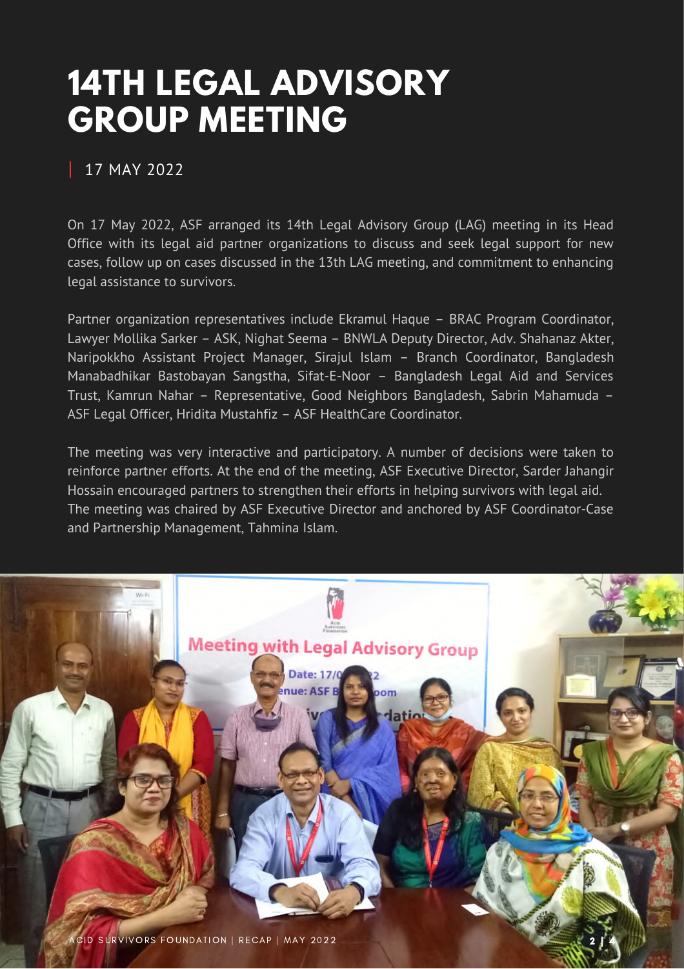# **14TH LEGAL ADVISORY GROUP MEETING**

#### 17 MAY 2022

On 17 May 2022, ASF arranged its 14th Legal Advisory Group (LAG) meeting in its Head Office with its legal aid partner organizations to discuss and seek legal support for new cases, follow up on cases discussed in the 13th LAG meeting, and commitment to enhancing legal assistance to survivors.

Partner organization representatives include Ekramul Haque – BRAC Program Coordinator, Lawyer Mollika Sarker – ASK, Nighat Seema – BNWLA Deputy Director, Adv. Shahanaz Akter, Naripokkho Assistant Project Manager, Sirajul Islam – Branch Coordinator, Bangladesh Manabadhikar Bastobayan Sangstha, Sifat-E-Noor – Bangladesh Legal Aid and Services Trust, Kamrun Nahar – Representative, Good Neighbors Bangladesh, Sabrin Mahamuda – ASF Legal Officer, Hridita Mustahfiz – ASF HealthCare Coordinator.

The meeting was very interactive and participatory. A number of decisions were taken to reinforce partner efforts. At the end of the meeting, ASF Executive Director, Sarder Jahangir Hossain encouraged partners to strengthen their efforts in helping survivors with legal aid. The meeting was chaired by ASF Executive Director and anchored by ASF Coordinator-Case and Partnership Management, Tahmina Islam.

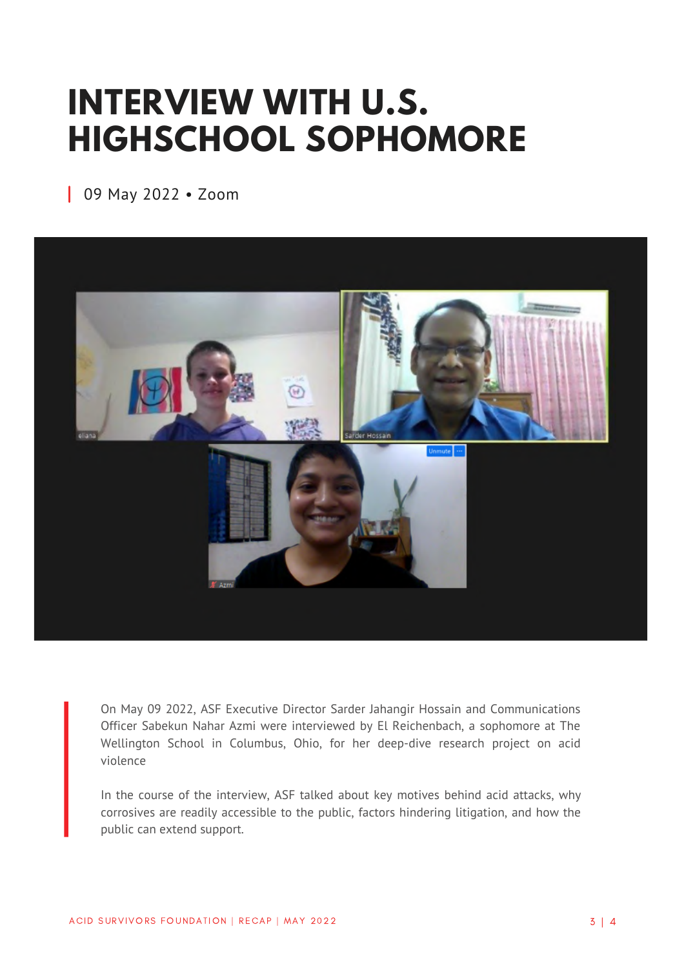# **INTERVIEW WITH U.S. [HIGHSCHOOL](https://acidsurvivors.org/sanjida-akter-bina/) SOPHOMORE**

09 May 2022 • Zoom



On May 09 2022, ASF Executive Director Sarder Jahangir Hossain and Communications Officer Sabekun Nahar Azmi were interviewed by El Reichenbach, a sophomore at The Wellington School in Columbus, Ohio, for her deep-dive research project on acid violence

In the course of the interview, ASF talked about key motives behind acid attacks, why corrosives are readily accessible to the public, factors hindering litigation, and how the public can extend support.